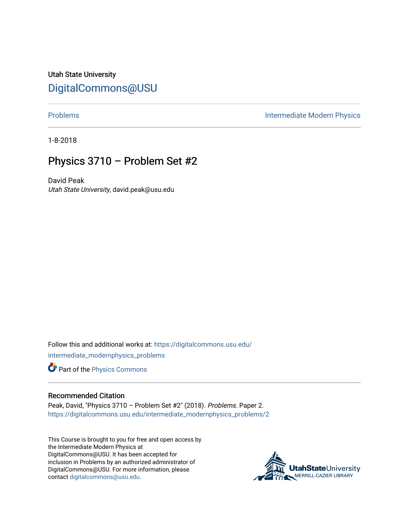Utah State University [DigitalCommons@USU](https://digitalcommons.usu.edu/)

[Problems](https://digitalcommons.usu.edu/intermediate_modernphysics_problems) **Intermediate Modern Physics** 

1-8-2018

## Physics 3710 – Problem Set #2

David Peak Utah State University, david.peak@usu.edu

Follow this and additional works at: [https://digitalcommons.usu.edu/](https://digitalcommons.usu.edu/intermediate_modernphysics_problems?utm_source=digitalcommons.usu.edu%2Fintermediate_modernphysics_problems%2F2&utm_medium=PDF&utm_campaign=PDFCoverPages) [intermediate\\_modernphysics\\_problems](https://digitalcommons.usu.edu/intermediate_modernphysics_problems?utm_source=digitalcommons.usu.edu%2Fintermediate_modernphysics_problems%2F2&utm_medium=PDF&utm_campaign=PDFCoverPages)

Part of the [Physics Commons](http://network.bepress.com/hgg/discipline/193?utm_source=digitalcommons.usu.edu%2Fintermediate_modernphysics_problems%2F2&utm_medium=PDF&utm_campaign=PDFCoverPages)

## Recommended Citation

Peak, David, "Physics 3710 – Problem Set #2" (2018). Problems. Paper 2. [https://digitalcommons.usu.edu/intermediate\\_modernphysics\\_problems/2](https://digitalcommons.usu.edu/intermediate_modernphysics_problems/2?utm_source=digitalcommons.usu.edu%2Fintermediate_modernphysics_problems%2F2&utm_medium=PDF&utm_campaign=PDFCoverPages)

This Course is brought to you for free and open access by the Intermediate Modern Physics at DigitalCommons@USU. It has been accepted for inclusion in Problems by an authorized administrator of DigitalCommons@USU. For more information, please contact [digitalcommons@usu.edu](mailto:digitalcommons@usu.edu).